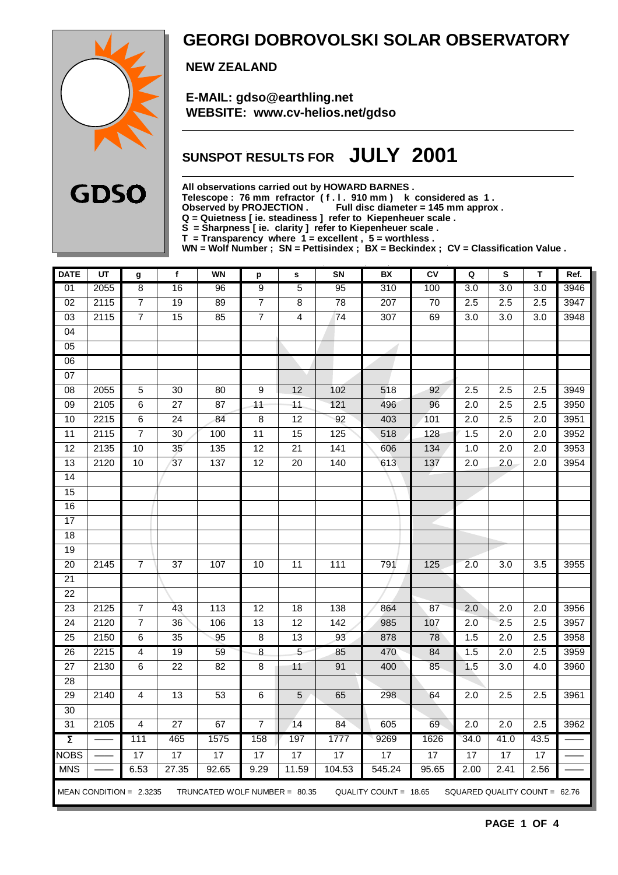

### **GEORGI DOBROVOLSKI SOLAR OBSERVATORY**

 **NEW ZEALAND**

 **E-MAIL: gdso@earthling.net WEBSITE: www.cv-helios.net/gdso**

## **SUNSPOT RESULTS FOR JULY 2001**

**All observations carried out by HOWARD BARNES .**

**Telescope : 76 mm refractor ( f . l . 910 mm ) k considered as 1 .**

**Observed by PROJECTION . Full disc diameter = 145 mm approx .**

**Q = Quietness [ ie. steadiness ] refer to Kiepenheuer scale .**

**S = Sharpness [ ie. clarity ] refer to Kiepenheuer scale .**

**T = Transparency where 1 = excellent , 5 = worthless .**

**WN = Wolf Number ; SN = Pettisindex ; BX = Beckindex ; CV = Classification Value .**

| <b>DATE</b>         | UT   | g                         | f               | <b>WN</b>                       | p               | s                       | SN                | BX                    | CV    | Q                             | S                | T                | Ref. |
|---------------------|------|---------------------------|-----------------|---------------------------------|-----------------|-------------------------|-------------------|-----------------------|-------|-------------------------------|------------------|------------------|------|
| 01                  | 2055 | $\overline{8}$            | 16              | 96                              | $\overline{9}$  | 5                       | 95                | 310                   | 100   | $\overline{3.0}$              | 3.0              | 3.0              | 3946 |
| 02                  | 2115 | $\overline{7}$            | 19              | 89                              | $\overline{7}$  | 8                       | $\overline{78}$   | $\overline{207}$      | 70    | 2.5                           | 2.5              | $\overline{2.5}$ | 3947 |
| 03                  | 2115 | $\overline{7}$            | $\overline{15}$ | 85                              | $\overline{7}$  | $\overline{\mathbf{4}}$ | 74                | 307                   | 69    | 3.0                           | 3.0              | 3.0              | 3948 |
| 04                  |      |                           |                 |                                 |                 |                         |                   |                       |       |                               |                  |                  |      |
| 05                  |      |                           |                 |                                 |                 |                         |                   |                       |       |                               |                  |                  |      |
| 06                  |      |                           |                 |                                 |                 |                         |                   |                       |       |                               |                  |                  |      |
| 07                  |      |                           |                 |                                 |                 |                         |                   |                       |       |                               |                  |                  |      |
| $\overline{08}$     | 2055 | $\overline{5}$            | 30              | 80                              | 9               | 12                      | 102               | 518                   | 92    | 2.5                           | 2.5              | 2.5              | 3949 |
| 09                  | 2105 | 6                         | $\overline{27}$ | $\overline{87}$                 | $\overline{11}$ | 11                      | 121               | 496                   | 96    | $\overline{2.0}$              | 2.5              | $\overline{2.5}$ | 3950 |
| 10                  | 2215 | 6                         | $\overline{24}$ | 84                              | $\overline{8}$  | 12                      | 92                | 403                   | 101   | $\overline{2.0}$              | 2.5              | $\overline{2.0}$ | 3951 |
| 11                  | 2115 | $\overline{7}$            | $\overline{30}$ | 100                             | $\overline{11}$ | 15                      | 125               | 518                   | 128   | 1.5                           | $\overline{2.0}$ | $\overline{2.0}$ | 3952 |
| 12                  | 2135 | 10                        | $\overline{35}$ | 135                             | $\overline{12}$ | $\overline{21}$         | 141               | 606                   | 134   | 1.0                           | $\overline{2.0}$ | 2.0              | 3953 |
| 13                  | 2120 | 10                        | 37              | 137                             | 12              | $\overline{20}$         | $\overline{140}$  | 613                   | 137   | 2.0                           | 2.0              | 2.0              | 3954 |
| 14                  |      |                           |                 |                                 |                 |                         |                   |                       |       |                               |                  |                  |      |
| 15                  |      |                           |                 |                                 |                 |                         |                   |                       |       |                               |                  |                  |      |
| 16                  |      |                           |                 |                                 |                 |                         |                   |                       |       |                               |                  |                  |      |
| 17                  |      |                           |                 |                                 |                 |                         |                   |                       |       |                               |                  |                  |      |
| 18                  |      |                           |                 |                                 |                 |                         |                   |                       |       |                               |                  |                  |      |
| $\overline{19}$     |      |                           |                 |                                 |                 |                         |                   |                       |       |                               |                  |                  |      |
| $\overline{20}$     | 2145 | 7                         | 37              | 107                             | 10              | $\overline{11}$         | $\frac{111}{111}$ | 791                   | 125   | $\overline{2.0}$              | $\overline{3.0}$ | $\overline{3.5}$ | 3955 |
| $\overline{21}$     |      |                           |                 |                                 |                 |                         |                   |                       |       |                               |                  |                  |      |
| 22                  |      |                           |                 |                                 |                 |                         |                   |                       |       |                               |                  |                  |      |
| 23                  | 2125 | $\overline{7}$            | 43              | 113                             | $\overline{12}$ | 18                      | 138               | 864                   | 87    | 2.0                           | $\overline{2.0}$ | 2.0              | 3956 |
| 24                  | 2120 | 7                         | 36              | 106                             | 13              | 12                      | 142               | 985                   | 107   | 2.0                           | 2.5              | 2.5              | 3957 |
| 25                  | 2150 | 6                         | $\overline{35}$ | 95                              | 8               | 13                      | 93                | 878                   | 78    | 1.5                           | $\overline{2.0}$ | $\overline{2.5}$ | 3958 |
| 26                  | 2215 | $\overline{4}$            | 19              | 59                              | $\infty$        | $\overline{5}$          | 85                | 470                   | 84    | 1.5                           | $\overline{2.0}$ | 2.5              | 3959 |
| 27                  | 2130 | 6                         | $\overline{22}$ | $\overline{82}$                 | 8               | 11                      | 91                | 400                   | 85    | 1.5                           | $\overline{3.0}$ | $\overline{4.0}$ | 3960 |
| 28                  |      |                           |                 |                                 |                 |                         |                   |                       |       |                               |                  |                  |      |
| $\overline{29}$     | 2140 | $\overline{4}$            | $\overline{13}$ | $\overline{53}$                 | $\,6$           | 5                       | 65                | 298                   | 64    | $\overline{2.0}$              | 2.5              | 2.5              | 3961 |
| 30                  |      |                           |                 |                                 |                 |                         |                   |                       |       |                               |                  |                  |      |
| 31                  | 2105 | 4                         | $\overline{27}$ | 67                              | $\overline{7}$  | 14                      | 84                | 605                   | 69    | 2.0                           | $\overline{2.0}$ | 2.5              | 3962 |
| $\overline{\Sigma}$ |      | 111                       | 465             | 1575                            | 158             | 197                     | 1777              | 9269                  | 1626  | 34.0                          | 41.0             | 43.5             |      |
| <b>NOBS</b>         |      | 17                        | $\overline{17}$ | $\overline{17}$                 | 17              | $\overline{17}$         | 17                | 17                    | 17    | 17                            | $\overline{17}$  | $\overline{17}$  |      |
| <b>MNS</b>          |      | 6.53                      | 27.35           | 92.65                           | 9.29            | 11.59                   | 104.53            | 545.24                | 95.65 | 2.00                          | 2.41             | 2.56             |      |
|                     |      | MEAN CONDITION = $2.3235$ |                 | TRUNCATED WOLF NUMBER = $80.35$ |                 |                         |                   | QUALITY COUNT = 18.65 |       | SQUARED QUALITY COUNT = 62.76 |                  |                  |      |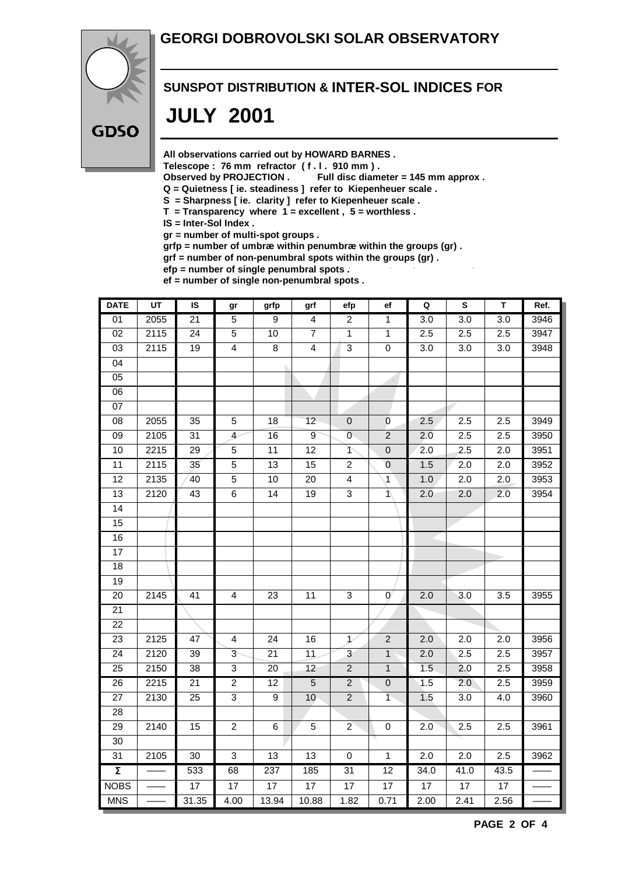### **GEORGI DOBROVOLSKI SOLAR OBSERVATORY**



#### **SUNSPOT DISTRIBUTION & INTER-SOL INDICES FOR**

## **JULY 2001**

**All observations carried out by HOWARD BARNES .**

Telescope : 76 mm refractor (f. l. 910 mm).<br>Observed by PROJECTION . Full disc diam

Full disc diameter = 145 mm approx .

- **Q = Quietness [ ie. steadiness ] refer to Kiepenheuer scale .**
- **S = Sharpness [ ie. clarity ] refer to Kiepenheuer scale .**
- **T = Transparency where 1 = excellent , 5 = worthless .**
- **IS = Inter-Sol Index .**

**gr = number of multi-spot groups .**

**grfp = number of umbræ within penumbræ within the groups (gr) .**

**grf = number of non-penumbral spots within the groups (gr) .**

**efp = number of single penumbral spots . ef = number of single non-penumbral spots .**

| <b>DATE</b>         | $\overline{UT}$ | IS              | gr                      | grfp            | grf                     | efp                       | ef               | $\mathbf Q$      | $\overline{\mathbf{s}}$ | $\overline{\mathsf{T}}$ | Ref. |
|---------------------|-----------------|-----------------|-------------------------|-----------------|-------------------------|---------------------------|------------------|------------------|-------------------------|-------------------------|------|
| 01                  | 2055            | $\overline{21}$ | $\overline{5}$          | 9               | $\overline{4}$          | $\overline{2}$            | $\mathbf{1}$     | $\overline{3.0}$ | $\overline{3.0}$        | $\overline{3.0}$        | 3946 |
| 02                  | 2115            | $\overline{24}$ | $\overline{5}$          | 10              | $\overline{7}$          | $\overline{1}$            | $\overline{1}$   | 2.5              | 2.5                     | 2.5                     | 3947 |
| $\overline{03}$     | 2115            | 19              | $\overline{\mathbf{4}}$ | 8               | $\overline{\mathbf{4}}$ | $\overline{3}$            | $\pmb{0}$        | 3.0              | 3.0                     | 3.0                     | 3948 |
| $\overline{04}$     |                 |                 |                         |                 |                         |                           |                  |                  |                         |                         |      |
| $\overline{05}$     |                 |                 |                         |                 |                         |                           |                  |                  |                         |                         |      |
| 06                  |                 |                 |                         |                 |                         |                           |                  |                  |                         |                         |      |
| 07                  |                 |                 |                         |                 |                         |                           |                  |                  |                         |                         |      |
| 08                  | 2055            | 35              | $\mathbf 5$             | 18              | 12                      | $\pmb{0}$                 | $\mathbf 0$      | 2.5              | 2.5                     | 2.5                     | 3949 |
| $\overline{09}$     | 2105            | $\overline{31}$ | $\overline{4}$          | 16              | $\overline{9}$          | $\overline{0}$            | $\overline{2}$   | 2.0              | 2.5                     | 2.5                     | 3950 |
| 10                  | 2215            | $\overline{29}$ | $\overline{5}$          | $\overline{11}$ | 12                      | $\overline{\phantom{a}}$  | $\overline{0}$   | $\overline{2.0}$ | 2.5                     | $\overline{2.0}$        | 3951 |
| 11                  | 2115            | $\overline{35}$ | $\overline{5}$          | 13              | 15                      | $\overline{2}$            | $\overline{0}$   | 1.5              | 2.0                     | $\overline{2.0}$        | 3952 |
| 12                  | 2135            | 40              | $\overline{5}$          | 10              | $\overline{20}$         | $\overline{\mathbf{4}}$   | $\mathbf{1}$     | 1.0              | 2.0                     | $\overline{2.0}$        | 3953 |
| 13                  | 2120            | 43              | $6\overline{6}$         | 14              | 19                      | $\overline{3}$            | $\bar{1}$        | 2.0              | 2.0                     | 2.0                     | 3954 |
| $\overline{14}$     |                 |                 |                         |                 |                         |                           |                  |                  |                         |                         |      |
| 15                  |                 |                 |                         |                 |                         |                           |                  |                  |                         |                         |      |
| 16                  |                 |                 |                         |                 |                         |                           |                  |                  |                         |                         |      |
| 17                  |                 |                 |                         |                 |                         |                           |                  |                  |                         |                         |      |
| 18                  |                 |                 |                         |                 |                         |                           |                  |                  |                         |                         |      |
| $\overline{19}$     |                 |                 |                         |                 |                         |                           |                  |                  |                         |                         |      |
| 20                  | 2145            | 41              | $\overline{4}$          | 23              | 11                      | $\ensuremath{\mathsf{3}}$ | $\mathbf 0$      | 2.0              | 3.0                     | 3.5                     | 3955 |
| $\overline{21}$     |                 |                 |                         |                 |                         |                           |                  |                  |                         |                         |      |
| 22                  |                 |                 |                         |                 |                         |                           |                  |                  |                         |                         |      |
| 23                  | 2125            | 47              | $\overline{\mathbf{4}}$ | 24              | 16                      | $\mathcal{L}$             | $\boldsymbol{2}$ | 2.0              | 2.0                     | 2.0                     | 3956 |
| 24                  | 2120            | 39              | $\overline{3}$          | $\overline{21}$ | $\overline{11}$         | $\overline{3}$            | $\overline{1}$   | 2.0              | 2.5                     | 2.5                     | 3957 |
| $\overline{25}$     | 2150            | 38              | $\overline{3}$          | 20              | 12                      | $\sqrt{2}$                | $\mathbf{1}$     | 1.5              | 2.0                     | 2.5                     | 3958 |
| $\overline{26}$     | 2215            | $\overline{21}$ | $\overline{2}$          | $\overline{12}$ | $\overline{5}$          | $\overline{2}$            | $\overline{0}$   | 1.5              | 2.0                     | 2.5                     | 3959 |
| $\overline{27}$     | 2130            | 25              | $\overline{3}$          | $\overline{9}$  | 10                      | $\overline{2}$            | $\overline{1}$   | 1.5              | 3.0                     | 4.0                     | 3960 |
| 28                  |                 |                 |                         |                 |                         |                           |                  |                  |                         |                         |      |
| 29                  | 2140            | 15              | $\overline{2}$          | 6               | 5                       | $\overline{2}$            | $\pmb{0}$        | 2.0              | 2.5                     | 2.5                     | 3961 |
| 30                  |                 |                 |                         |                 |                         |                           |                  |                  |                         |                         |      |
| 31                  | 2105            | 30              | $\overline{3}$          | 13              | $\overline{13}$         | $\overline{0}$            | $\overline{1}$   | 2.0              | 2.0                     | 2.5                     | 3962 |
| $\overline{\Sigma}$ |                 | 533             | 68                      | 237             | 185                     | 31                        | 12               | 34.0             | 41.0                    | 43.5                    |      |
| <b>NOBS</b>         |                 | 17              | 17                      | 17              | 17                      | 17                        | $\overline{17}$  | $\overline{17}$  | $\overline{17}$         | 17                      |      |
| <b>MNS</b>          |                 | 31.35           | 4.00                    | 13.94           | 10.88                   | 1.82                      | 0.71             | 2.00             | 2.41                    | 2.56                    |      |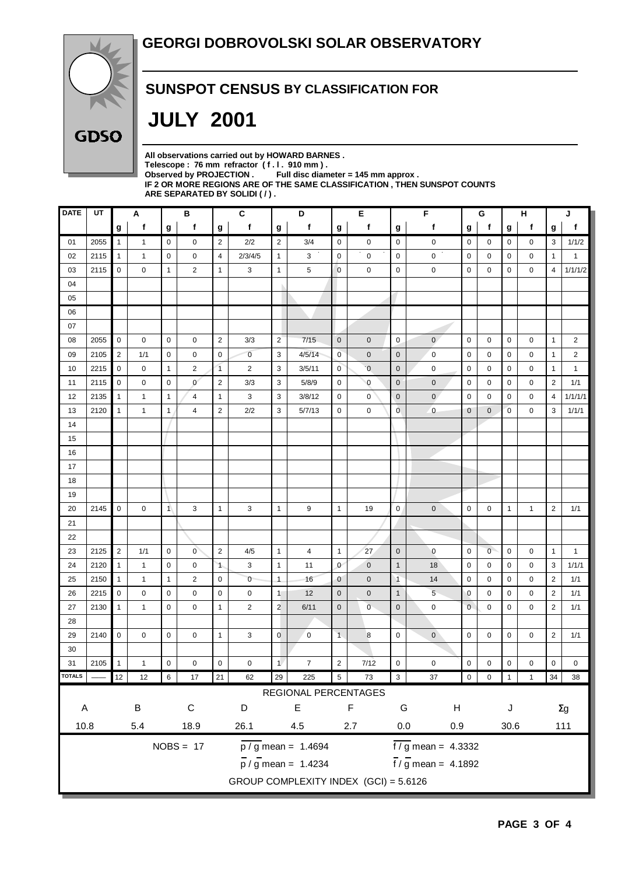

### **SUNSPOT CENSUS BY CLASSIFICATION FOR**

# **JULY 2001**

| All observations carried out by HOWARD BARNES.                            |
|---------------------------------------------------------------------------|
| Telescope: 76 mm refractor (f.l. 910 mm).                                 |
| Full disc diameter = 145 mm approx.<br>Observed by PROJECTION.            |
| IF 2 OR MORE REGIONS ARE OF THE SAME CLASSIFICATION . THEN SUNSPOT COUNTS |
| ARE SEPARATED BY SOLIDI ( / ).                                            |

| <b>DATE</b> | UT                     | Α                |              | В              |                | C                |                | D              |                                       |                     | Е              |                | F                          |                                   | G                        |                   | н            |                | J                       |  |
|-------------|------------------------|------------------|--------------|----------------|----------------|------------------|----------------|----------------|---------------------------------------|---------------------|----------------|----------------|----------------------------|-----------------------------------|--------------------------|-------------------|--------------|----------------|-------------------------|--|
|             |                        | $\boldsymbol{g}$ | f            | g              | f              | $\boldsymbol{g}$ | f              | g              | f                                     | g                   | f              | g              | f                          | g                                 | $\mathbf f$              | g                 | f            | g              | f                       |  |
| 01          | 2055                   | $\mathbf{1}$     | $\mathbf{1}$ | 0              | 0              | $\overline{2}$   | 2/2            | $\overline{2}$ | 3/4                                   | 0                   | $\mathbf 0$    | $\mathbf 0$    | 0                          | $\mathbf 0$                       | 0                        | 0                 | 0            | 3              | 1/1/2                   |  |
| 02          | 2115                   | $\mathbf{1}$     | $\mathbf{1}$ | 0              | 0              | $\overline{4}$   | 2/3/4/5        | $\mathbf{1}$   | 3                                     | 0                   | $\mathbf 0$    | $\mathbf 0$    | 0                          | $\mathbf 0$                       | 0                        | 0                 | 0            | $\mathbf{1}$   | $\mathbf{1}$            |  |
| 03          | 2115                   | $\mathbf 0$      | 0            | $\mathbf{1}$   | $\overline{2}$ | $\mathbf{1}$     | 3              | $\mathbf{1}$   | 5                                     | $\mathbf 0$         | $\mathbf 0$    | 0              | $\mathbf 0$                | $\mathbf 0$                       | 0                        | $\mathbf 0$       | 0            | 4              | 1/1/1/2                 |  |
| 04          |                        |                  |              |                |                |                  |                |                |                                       |                     |                |                |                            |                                   |                          |                   |              |                |                         |  |
| 05          |                        |                  |              |                |                |                  |                |                |                                       |                     |                |                |                            |                                   |                          |                   |              |                |                         |  |
| 06          |                        |                  |              |                |                |                  |                |                |                                       |                     |                |                |                            |                                   |                          |                   |              |                |                         |  |
| 07          |                        |                  |              |                |                |                  |                |                |                                       |                     |                |                |                            |                                   |                          |                   |              |                |                         |  |
| 08          | 2055                   | $\mathbf 0$      | 0            | 0              | 0              | $\sqrt{2}$       | 3/3            | $\overline{2}$ | 7/15                                  | $\mathbf 0$         | $\mathbf 0$    | $\mathbf 0$    | $\mathbf{0}$               | $\mathbf 0$                       | 0                        | 0                 | 0            | $\mathbf{1}$   | $\overline{\mathbf{c}}$ |  |
| 09          | 2105                   | $\overline{2}$   | 1/1          | 0              | 0              | $\mathbf 0$      | $\overline{0}$ | 3              | 4/5/14                                | $\overline{0}$      | $\mathbf 0$    | $\mathbf 0$    | $\mathbf 0$                | $\mathbf 0$                       | 0                        | 0                 | 0            | $\mathbf{1}$   | $\overline{2}$          |  |
| 10          | 2215                   | $\mathbf 0$      | 0            | 1              | $\overline{c}$ | $\overline{1}$   | $\overline{2}$ | 3              | 3/5/11                                | $\overline{0}$      | $\overline{0}$ | $\mathbf{0}$   | $\mathbf 0$                | $\mathbf 0$                       | 0                        | $\mathbf 0$       | 0            | $\mathbf{1}$   | $\mathbf{1}$            |  |
| 11          | 2115                   | $\mathbf 0$      | 0            | $\mathbf 0$    | $\mathbf{0}$   | $\overline{2}$   | 3/3            | 3              | 5/8/9                                 | $\mathbf 0$         | $\mathbf 0$    | $\mathbf{0}$   | $\overline{0}$             | $\mathbf 0$                       | 0                        | $\mathbf 0$       | $\mathbf 0$  | $\overline{2}$ | 1/1                     |  |
| 12          | 2135                   | $\mathbf{1}$     | $\mathbf{1}$ | 1              | 4              | $\mathbf{1}$     | 3              | 3              | 3/8/12                                | $\mathbf 0$         | 0              | $\mathbf 0$    | $\mathbf{0}$               | 0                                 | 0                        | 0                 | 0            | 4              | 1/1/1/1                 |  |
| 13          | 2120                   | $\mathbf{1}$     | $\mathbf{1}$ | $\mathbf{1}$   | 4              | $\overline{2}$   | 2/2            | 3              | 5/7/13                                | $\mathbf 0$         | 0              | 0              | $\pmb{0}$                  | $\mathbf 0$                       | 0                        | $\overline{0}$    | $\mathbf 0$  | 3              | 1/1/1                   |  |
| 14          |                        |                  |              |                |                |                  |                |                |                                       |                     |                |                |                            |                                   |                          |                   |              |                |                         |  |
| 15          |                        |                  |              |                |                |                  |                |                |                                       |                     |                |                |                            |                                   |                          |                   |              |                |                         |  |
| 16          |                        |                  |              |                |                |                  |                |                |                                       |                     |                |                |                            |                                   |                          |                   |              |                |                         |  |
| 17          |                        |                  |              |                |                |                  |                |                |                                       |                     |                |                |                            |                                   |                          |                   |              |                |                         |  |
| 18          |                        |                  |              |                |                |                  |                |                |                                       |                     |                |                |                            |                                   |                          |                   |              |                |                         |  |
| 19          |                        |                  |              |                |                |                  |                |                |                                       |                     |                |                |                            |                                   |                          |                   |              |                |                         |  |
| 20          | 2145                   | $\mathbf 0$      | 0            | $\mathbf{1}$   | 3              | $\mathbf{1}$     | 3              | $\mathbf{1}$   | 9                                     | $\mathbf{1}$        | 19             | 0              | $\mathbf 0$                | $\mathbf 0$                       | 0                        | $\mathbf{1}$      | $\mathbf{1}$ | $\overline{2}$ | 1/1                     |  |
| 21          |                        |                  |              |                |                |                  |                |                |                                       |                     |                |                |                            |                                   |                          |                   |              |                |                         |  |
| 22          |                        |                  |              |                |                |                  |                |                |                                       |                     |                |                |                            |                                   |                          |                   |              |                |                         |  |
| 23          | 2125                   | $\overline{2}$   | 1/1          | 0              | $\overline{0}$ | $\overline{2}$   | 4/5            | $\mathbf{1}$   | $\overline{4}$                        | $\mathbf{1}$        | 27             | $\mathbf{0}$   | $\mathbf 0$                | $\mathbf 0$                       | $\overline{0}$           | $\mathbf 0$       | 0            | $\mathbf{1}$   | $\mathbf{1}$            |  |
| 24          | 2120                   | $\mathbf{1}$     | $\mathbf{1}$ | 0              | 0              | $\mathbf{1}$     | 3              | $\mathbf{1}$   | 11                                    | $\mathbf{0}$        | $\mathbf{0}$   | $\mathbf{1}$   | 18                         | 0                                 | 0                        | 0                 | 0            | 3              | 1/1/1                   |  |
| 25          | 2150                   | $\mathbf{1}$     | $\mathbf{1}$ | 1              | $\overline{c}$ | $\mathbf 0$      | $\mathbf{0}$   | $\mathbf{1}$   | 16                                    | $\mathbf{0}$        | $\mathbf 0$    | $\overline{1}$ | 14                         | $\mathbf 0$                       | 0                        | 0                 | 0            | $\overline{2}$ | 1/1                     |  |
| 26          | 2215                   | $\mathbf 0$      | 0            | $\mathbf 0$    | 0              | $\mathbf 0$      | 0              | $\mathbf{1}$   | 12                                    | $\mathbf 0$         | $\mathbf 0$    | $\mathbf{1}$   | 5                          | $\mathbf 0$                       | 0                        | 0                 | 0            | $\overline{2}$ | 1/1                     |  |
| 27          | 2130                   | $\mathbf{1}$     | $\mathbf{1}$ | 0              | 0              | $\mathbf{1}$     | $\overline{2}$ | $\overline{2}$ | 6/11                                  | $\mathsf{O}\xspace$ | $\overline{0}$ | $\mathbf 0$    | 0                          | $\mathbf{0}$                      | 0                        | $\mathbf 0$       | $\mathbf 0$  | $\overline{2}$ | 1/1                     |  |
| 28          |                        |                  |              |                |                |                  |                |                |                                       |                     |                |                |                            |                                   |                          |                   |              |                |                         |  |
| 29          | 2140                   | $\mathbf 0$      | 0            | 0              | 0              | $\mathbf{1}$     | 3              | $\mathbf 0$    | $\mathbf 0$                           | 1                   | 8              | 0              | 0                          | $\mathbf 0$                       | 0                        | 0                 | 0            | $\overline{2}$ | 1/1                     |  |
| 30          |                        |                  |              |                |                |                  |                |                |                                       |                     |                |                |                            |                                   |                          |                   |              |                |                         |  |
| 31          | 2105                   | $\mathbf{1}$     | $\mathbf{1}$ | 0              | 0              | 0                | 0              | $\mathbf{1}$   | $\overline{7}$                        | $\overline{2}$      | 7/12           | 0              | 0                          | $\pmb{0}$                         | 0                        | 0                 | 0            | 0              | 0                       |  |
| TOTALS      |                        | 12               | 12           | 6 <sup>6</sup> | 17             | 21               | 62             | 29             | 225                                   | 5 <sub>5</sub>      | 73             | $\mathbf{3}$   | 37                         | $\begin{bmatrix} 0 \end{bmatrix}$ | $\overline{\phantom{0}}$ | $\vert$ 1 $\vert$ | $\mathbf{1}$ |                | 34 38                   |  |
|             |                        |                  |              |                |                |                  |                |                | REGIONAL PERCENTAGES                  |                     |                |                |                            |                                   |                          |                   |              |                |                         |  |
|             | $\sf B$<br>$\mathsf A$ |                  |              |                | $\mathsf C$    |                  | D              |                | $\mathsf E$                           |                     | F              | ${\mathsf G}$  | $\boldsymbol{\mathsf{H}}$  |                                   |                          | J                 |              | $\Sigma g$     |                         |  |
| 10.8        |                        |                  | $5.4\,$      |                | 18.9           |                  | 26.1           |                | 4.5                                   |                     | $2.7\,$        | $0.0\,$<br>0.9 |                            |                                   |                          | 30.6              |              |                | 111                     |  |
|             |                        |                  |              |                | $NOBS = 17$    |                  |                |                | $\frac{1}{p}$ / g mean = 1.4694       |                     |                |                | $\sqrt{f/g}$ mean = 4.3332 |                                   |                          |                   |              |                |                         |  |
|             |                        |                  |              |                |                |                  |                |                |                                       |                     |                |                |                            |                                   |                          |                   |              |                |                         |  |
|             |                        |                  |              |                |                |                  |                |                | $\frac{1}{p}$ / g mean = 1.4234       |                     |                |                | $f / g$ mean = 4.1892      |                                   |                          |                   |              |                |                         |  |
|             |                        |                  |              |                |                |                  |                |                | GROUP COMPLEXITY INDEX (GCI) = 5.6126 |                     |                |                |                            |                                   |                          |                   |              |                |                         |  |